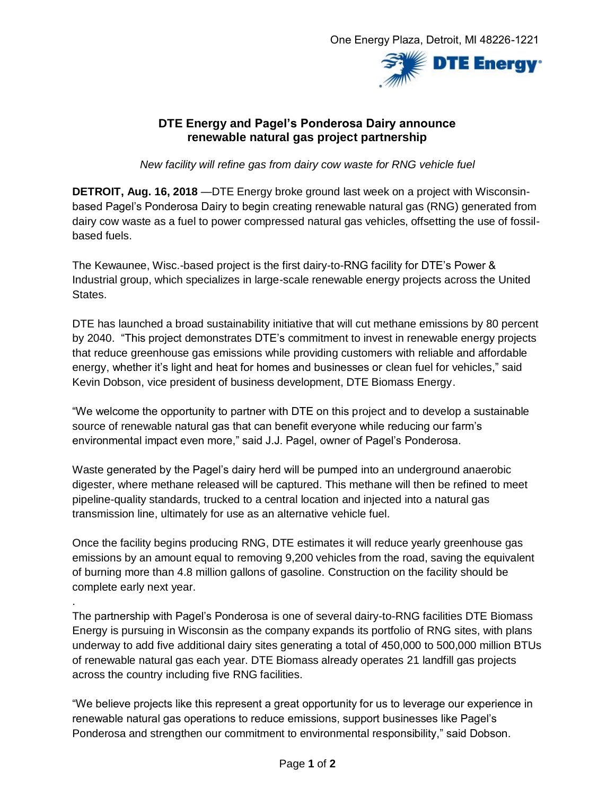

## **DTE Energy and Pagel's Ponderosa Dairy announce renewable natural gas project partnership**

*New facility will refine gas from dairy cow waste for RNG vehicle fuel*

**DETROIT, Aug. 16, 2018** —DTE Energy broke ground last week on a project with Wisconsinbased Pagel's Ponderosa Dairy to begin creating renewable natural gas (RNG) generated from dairy cow waste as a fuel to power compressed natural gas vehicles, offsetting the use of fossilbased fuels.

The Kewaunee, Wisc.-based project is the first dairy-to-RNG facility for DTE's Power & Industrial group, which specializes in large-scale renewable energy projects across the United States.

DTE has launched a broad sustainability initiative that will cut methane emissions by 80 percent by 2040. "This project demonstrates DTE's commitment to invest in renewable energy projects that reduce greenhouse gas emissions while providing customers with reliable and affordable energy, whether it's light and heat for homes and businesses or clean fuel for vehicles," said Kevin Dobson, vice president of business development, DTE Biomass Energy.

"We welcome the opportunity to partner with DTE on this project and to develop a sustainable source of renewable natural gas that can benefit everyone while reducing our farm's environmental impact even more," said J.J. Pagel, owner of Pagel's Ponderosa.

Waste generated by the Pagel's dairy herd will be pumped into an underground anaerobic digester, where methane released will be captured. This methane will then be refined to meet pipeline-quality standards, trucked to a central location and injected into a natural gas transmission line, ultimately for use as an alternative vehicle fuel.

Once the facility begins producing RNG, DTE estimates it will reduce yearly greenhouse gas emissions by an amount equal to removing 9,200 vehicles from the road, saving the equivalent of burning more than 4.8 million gallons of gasoline. Construction on the facility should be complete early next year.

.

The partnership with Pagel's Ponderosa is one of several dairy-to-RNG facilities DTE Biomass Energy is pursuing in Wisconsin as the company expands its portfolio of RNG sites, with plans underway to add five additional dairy sites generating a total of 450,000 to 500,000 million BTUs of renewable natural gas each year. DTE Biomass already operates 21 landfill gas projects across the country including five RNG facilities.

"We believe projects like this represent a great opportunity for us to leverage our experience in renewable natural gas operations to reduce emissions, support businesses like Pagel's Ponderosa and strengthen our commitment to environmental responsibility," said Dobson.